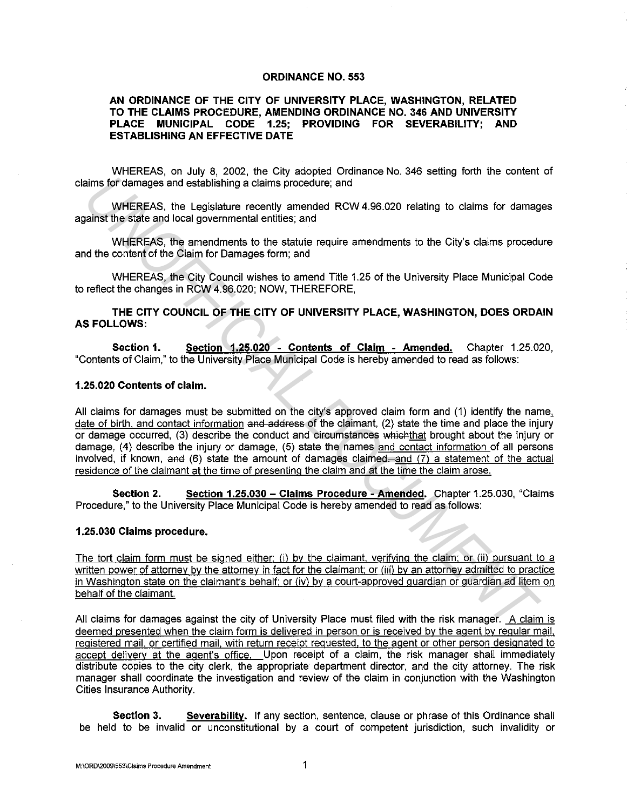## **ORDINANCE NO. 553**

## **AN ORDINANCE OF THE CITY OF UNIVERSITY PLACE, WASHINGTON, RELATED TO THE CLAIMS PROCEDURE, AMENDING ORDINANCE NO. 346 AND UNIVERSITY PLACE MUNICIPAL CODE 1.25; PROVIDING FOR SEVERABILITY; AND ESTABLISHING AN EFFECTIVE DATE**

WHEREAS, on July 8, 2002, the City adopted Ordinance No. 346 setting forth the content of claims for damages and establishing a claims procedure; and

WHEREAS, the Legislature recently amended RCW 4.96.020 relating to claims for damages against the state and local governmental entities; and

WHEREAS, the amendments to the statute require amendments to the City's claims procedure and the content of the Claim for Damages form; and

WHEREAS, the City Council wishes to amend Title 1.25 of the University Place Municipal Code to reflect the changes in RCW 4.96.020; NOW, THEREFORE,

**THE CITY COUNCIL OF THE CITY OF UNIVERSITY PLACE, WASHINGTON, DOES ORDAIN AS FOLLOWS:** 

**Section 1. Section 1.25.020 - Contents of Claim - Amended.** Chapter 1.25.020, "Contents of Claim," to the University Place Municipal Code is hereby amended to read as follows:

## **1.25.020 Contents of claim.**

All claims for damages must be submitted on the city's approved claim form and (1) identify the name. date of birth, and contact information and address of the claimant, (2) state the time and place the injury or damage occurred, (3) describe the conduct and circumstances which that brought about the injury or damage, (4) describe the injury or damage, (5) state the names and contact information of all persons involved, if known, and (6) state the amount of damages claimed—and  $(7)$  a statement of the actual residence of the claimant at the time of presenting the claim and at the time the claim arose. aims for damages and establishing a citims procedure, and<br>
WHEREAS, the Legislature recently amended RCW 4.96.020 relating to claims for damag<br>
alants the state and local governmental entities; and<br>
WHEREAS, the amendments

**Section 2. Section 1.25.030 - Claims Procedure -Amended.** Chapter 1.25.030, "Claims Procedure," to the University Place Municipal Code is hereby amended to read as follows:

## **1.25.030 Claims procedure.**

The tort claim form must be signed either: (i) by the claimant, verifying the claim; or (ii) pursuant to a written power of attorney by the attorney in fact for the claimant; or (iii) by an attorney admitted to practice in Washington state on the claimant's behalf; or (iv) by a court-approved guardian or guardian ad litem on behalf of the claimant.

All claims for damages against the city of University Place must filed with the risk manager. A claim is deemed presented when the claim form is delivered in person or is received by the agent by regular mail, registered mail, or certified mail, with return receipt requested, to the agent or other person designated to accept delivery at the agent's office. Upon receipt of a claim, the risk manager shall immediately distribute copies to the city clerk, the appropriate department director, and the city attorney. The risk manager shall coordinate the investigation and review of the claim in conjunction with the Washington Cities Insurance Authority.

**Section 3. Severability.** If any section, sentence, clause or phrase of this Ordinance shall be held to be invalid or unconstitutional by a court of competent jurisdiction, such invalidity or